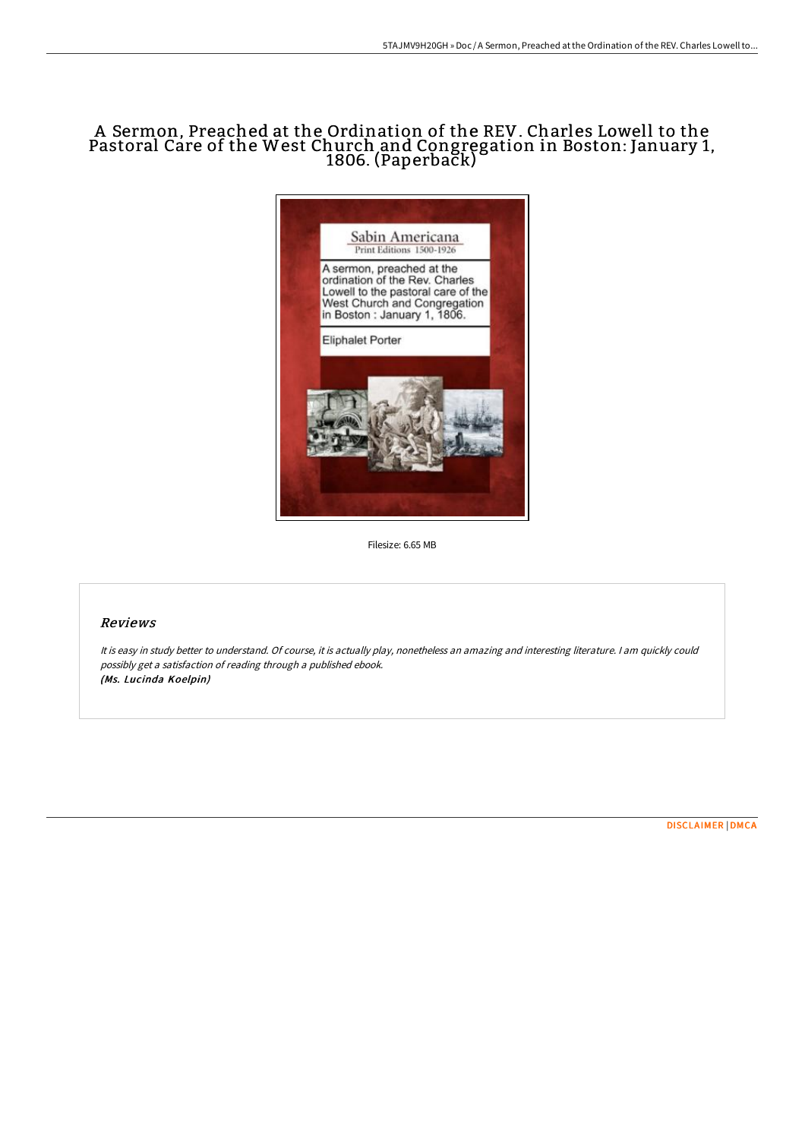# A Sermon, Preached at the Ordination of the REV. Charles Lowell to the Pastoral Care of the West Church and Congregation in Boston: January 1, 1806. (Paperback)



Filesize: 6.65 MB

### Reviews

It is easy in study better to understand. Of course, it is actually play, nonetheless an amazing and interesting literature. <sup>I</sup> am quickly could possibly get <sup>a</sup> satisfaction of reading through <sup>a</sup> published ebook. (Ms. Lucinda Koelpin)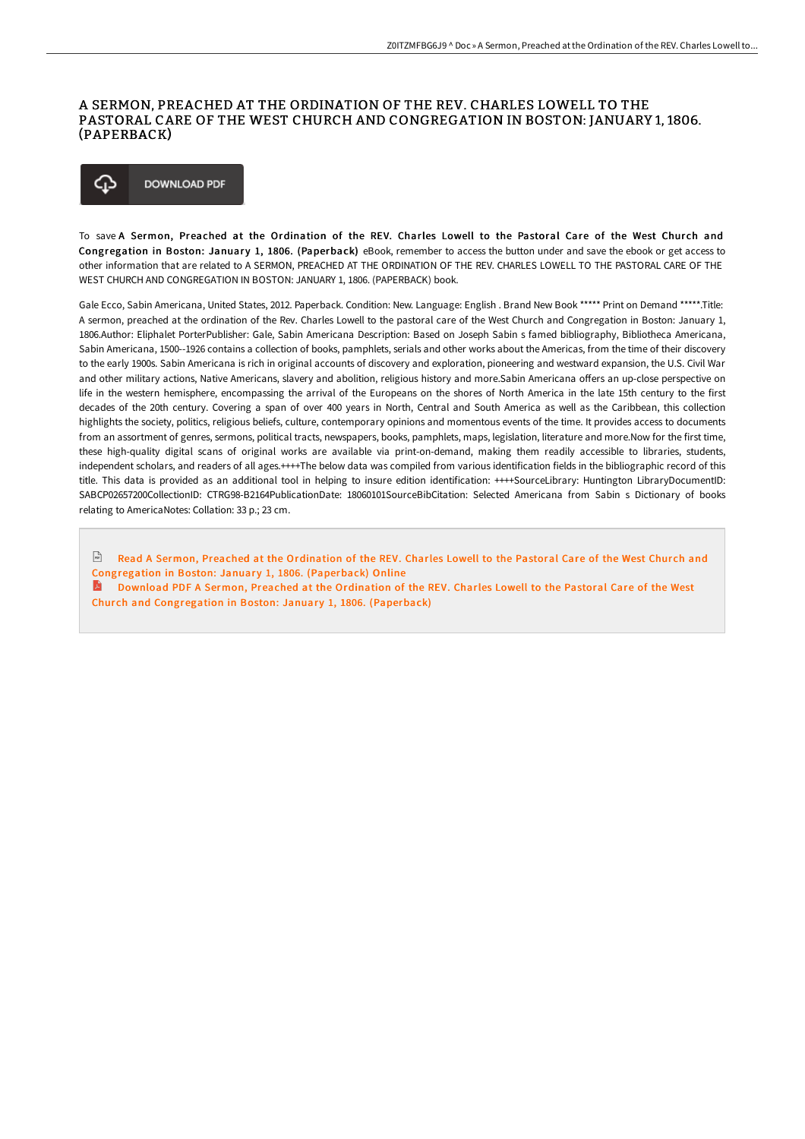#### A SERMON, PREACHED AT THE ORDINATION OF THE REV. CHARLES LOWELL TO THE PASTORAL CARE OF THE WEST CHURCH AND CONGREGATION IN BOSTON: JANUARY 1, 1806. (PAPERBACK)

#### **DOWNLOAD PDF** ረጉ

To save A Sermon, Preached at the Ordination of the REV. Charles Lowell to the Pastoral Care of the West Church and Congregation in Boston: January 1, 1806. (Paperback) eBook, remember to access the button under and save the ebook or get access to other information that are related to A SERMON, PREACHED AT THE ORDINATION OF THE REV. CHARLES LOWELL TO THE PASTORAL CARE OF THE WEST CHURCH AND CONGREGATION IN BOSTON: JANUARY 1, 1806. (PAPERBACK) book.

Gale Ecco, Sabin Americana, United States, 2012. Paperback. Condition: New. Language: English . Brand New Book \*\*\*\*\* Print on Demand \*\*\*\*\*.Title: A sermon, preached at the ordination of the Rev. Charles Lowell to the pastoral care of the West Church and Congregation in Boston: January 1, 1806.Author: Eliphalet PorterPublisher: Gale, Sabin Americana Description: Based on Joseph Sabin s famed bibliography, Bibliotheca Americana, Sabin Americana, 1500--1926 contains a collection of books, pamphlets, serials and other works about the Americas, from the time of their discovery to the early 1900s. Sabin Americana is rich in original accounts of discovery and exploration, pioneering and westward expansion, the U.S. Civil War and other military actions, Native Americans, slavery and abolition, religious history and more.Sabin Americana offers an up-close perspective on life in the western hemisphere, encompassing the arrival of the Europeans on the shores of North America in the late 15th century to the first decades of the 20th century. Covering a span of over 400 years in North, Central and South America as well as the Caribbean, this collection highlights the society, politics, religious beliefs, culture, contemporary opinions and momentous events of the time. It provides access to documents from an assortment of genres, sermons, political tracts, newspapers, books, pamphlets, maps, legislation, literature and more.Now for the first time, these high-quality digital scans of original works are available via print-on-demand, making them readily accessible to libraries, students, independent scholars, and readers of all ages.++++The below data was compiled from various identification fields in the bibliographic record of this title. This data is provided as an additional tool in helping to insure edition identification: ++++SourceLibrary: Huntington LibraryDocumentID: SABCP02657200CollectionID: CTRG98-B2164PublicationDate: 18060101SourceBibCitation: Selected Americana from Sabin s Dictionary of books relating to AmericaNotes: Collation: 33 p.; 23 cm.

 $\sqrt{\frac{1}{n}}$ Read A Sermon, Preached at the Ordination of the REV. Charles Lowell to the Pastoral Care of the West Church and [Congregation](http://bookera.tech/a-sermon-preached-at-the-ordination-of-the-rev-c.html) in Boston: January 1, 1806. (Paperback) Online

A Download PDF A Sermon, Preached at the Ordination of the REV. Charles Lowell to the Pastoral Care of the West Church and [Congregation](http://bookera.tech/a-sermon-preached-at-the-ordination-of-the-rev-c.html) in Boston: January 1, 1806. (Paperback)